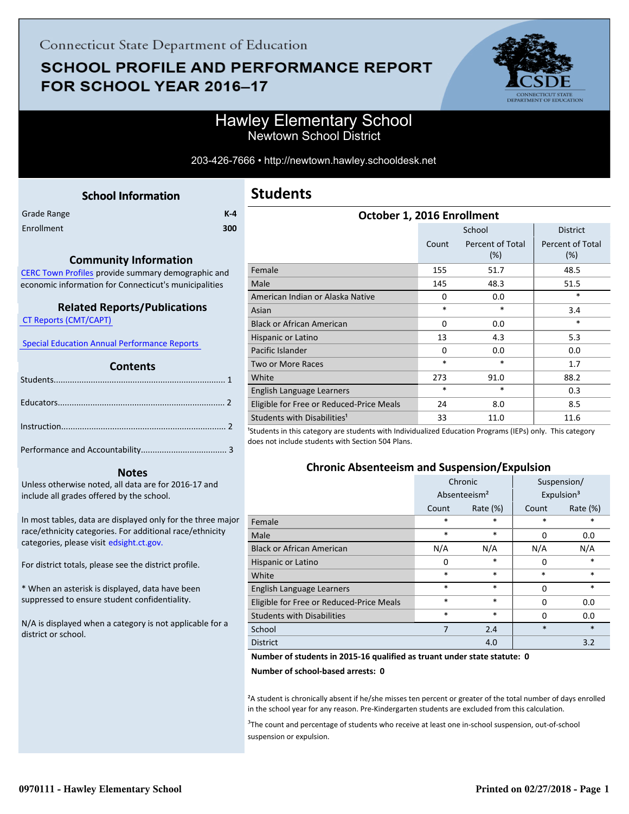# **SCHOOL PROFILE AND PERFORMANCE REPORT** FOR SCHOOL YEAR 2016-17



### Hawley Elementary School Newtown School District

203-426-7666 • http://newtown.hawley.schooldesk.net

<span id="page-0-0"></span>Grade Range **K-4** Enrollment **300**

#### **Community Information**

[CERC Town Profiles provide summary demographic and](http://www.cerc.com/townprofiles/) economic information for Connecticut's municipalities

#### **Related Reports/Publications**

 [CT Reports \(CMT/CAPT\)](http://ctreports.com/) 

 [Special Education Annual Performance Reports](http://edsight.ct.gov/SASPortal/main.do) 

#### **Contents**

#### **Notes**

Unless otherwise noted, all data are for 2016-17 and include all grades offered by the school.

[In most tables, data are displayed only for the three major](http://edsight.ct.gov/) race/ethnicity categories. For additional race/ethnicity categories, please visit edsight.ct.gov.

For district totals, please see the district profile.

\* When an asterisk is displayed, data have been suppressed to ensure student confidentiality.

N/A is displayed when a category is not applicable for a district or school.

| October 1, 2016 Enrollment                                                                                                                               |          |                            |                         |  |  |
|----------------------------------------------------------------------------------------------------------------------------------------------------------|----------|----------------------------|-------------------------|--|--|
|                                                                                                                                                          |          | School                     | <b>District</b>         |  |  |
|                                                                                                                                                          | Count    | Percent of Total<br>$(\%)$ | Percent of Total<br>(%) |  |  |
| Female                                                                                                                                                   | 155      | 51.7                       | 48.5                    |  |  |
| Male                                                                                                                                                     | 145      | 48.3                       | 51.5                    |  |  |
| American Indian or Alaska Native                                                                                                                         | 0        | 0.0                        | *                       |  |  |
| Asian                                                                                                                                                    | $\ast$   | $\ast$                     | 3.4                     |  |  |
| <b>Black or African American</b>                                                                                                                         | $\Omega$ | 0.0                        | $\ast$                  |  |  |
| Hispanic or Latino                                                                                                                                       | 13       | 4.3                        | 5.3                     |  |  |
| Pacific Islander                                                                                                                                         | $\Omega$ | 0.0                        | 0.0                     |  |  |
| <b>Two or More Races</b>                                                                                                                                 | $\ast$   | $\ast$                     | 1.7                     |  |  |
| White                                                                                                                                                    | 273      | 91.0                       | 88.2                    |  |  |
| English Language Learners                                                                                                                                | $\ast$   | $\ast$                     | 0.3                     |  |  |
| Eligible for Free or Reduced-Price Meals                                                                                                                 | 24       | 8.0                        | 8.5                     |  |  |
| Students with Disabilities <sup>1</sup><br>1er de arte de caracter de la deur tributa de la decada de la del característica de Aleis Alexandro ≑las cara | 33       | 11.0                       | 11.6                    |  |  |

<sup>1</sup>Students in this category are students with Individualized Education Programs (IEPs) only. This category does not include students with Section 504 Plans.

### **Chronic Absenteeism and Suspension/Expulsion**

|                                          | Chronic                  |             | Suspension/            |          |
|------------------------------------------|--------------------------|-------------|------------------------|----------|
|                                          | Absenteeism <sup>2</sup> |             | Expulsion <sup>3</sup> |          |
|                                          | Count                    | Rate $(\%)$ | Count                  | Rate (%) |
| Female                                   | *                        | *           | *                      | *        |
| Male                                     | $\ast$                   | $\ast$      | $\Omega$               | 0.0      |
| <b>Black or African American</b>         | N/A                      | N/A         | N/A                    | N/A      |
| Hispanic or Latino                       | 0                        | *           | 0                      | $\ast$   |
| White                                    | *                        | $\ast$      | *                      | $\ast$   |
| English Language Learners                | *                        | $\ast$      | 0                      | $\ast$   |
| Eligible for Free or Reduced-Price Meals | *                        | $\ast$      | 0                      | 0.0      |
| <b>Students with Disabilities</b>        | $\ast$                   | $\ast$      | n                      | 0.0      |
| School                                   | 7                        | 2.4         | $\ast$                 | $\ast$   |
| <b>District</b>                          |                          | 4.0         |                        | 3.2      |

#### **Number of students in 2015-16 qualified as truant under state statute: 0**

**Number of school-based arrests: 0**

²A student is chronically absent if he/she misses ten percent or greater of the total number of days enrolled in the school year for any reason. Pre-Kindergarten students are excluded from this calculation.

<sup>3</sup>The count and percentage of students who receive at least one in-school suspension, out-of-school suspension or expulsion.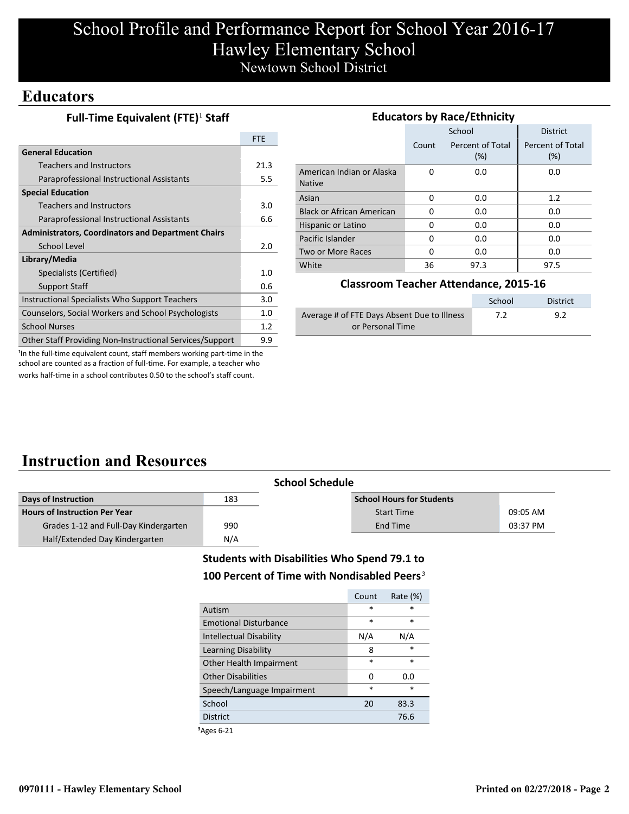# School Profile and Performance Report for School Year 2016-17 Hawley Elementary School Newtown School District

### **Educators**

| Full-Time Equivalent (FTE) <sup>1</sup> Staff |  |
|-----------------------------------------------|--|
|-----------------------------------------------|--|

|                                                           | <b>FTE</b> |
|-----------------------------------------------------------|------------|
| <b>General Education</b>                                  |            |
| <b>Teachers and Instructors</b>                           | 21.3       |
| Paraprofessional Instructional Assistants                 | 5.5        |
| <b>Special Education</b>                                  |            |
| <b>Teachers and Instructors</b>                           | 3.0        |
| Paraprofessional Instructional Assistants                 | 6.6        |
| <b>Administrators, Coordinators and Department Chairs</b> |            |
| School Level                                              | 2.0        |
| Library/Media                                             |            |
| Specialists (Certified)                                   | 1.0        |
| <b>Support Staff</b>                                      | 0.6        |
| Instructional Specialists Who Support Teachers            | 3.0        |
| Counselors, Social Workers and School Psychologists       | 1.0        |
| <b>School Nurses</b>                                      | 1.2        |
| Other Staff Providing Non-Instructional Services/Support  | 9.9        |

| <b>Educators by Race/Ethnicity</b>         |       |                         |                         |  |  |
|--------------------------------------------|-------|-------------------------|-------------------------|--|--|
|                                            |       | School                  | <b>District</b>         |  |  |
|                                            | Count | Percent of Total<br>(%) | Percent of Total<br>(%) |  |  |
| American Indian or Alaska<br><b>Native</b> | 0     | 0.0                     | 0.0                     |  |  |
| Asian                                      | 0     | 0.0                     | 1.2                     |  |  |
| <b>Black or African American</b>           | 0     | 0.0                     | 0.0                     |  |  |
| Hispanic or Latino                         | O     | 0.0                     | 0.0                     |  |  |
| Pacific Islander                           | O     | 0.0                     | 0.0                     |  |  |
| Two or More Races                          | O     | 0.0                     | 0.0                     |  |  |
| White                                      | 36    | 97.3                    | 97.5                    |  |  |

#### **Classroom Teacher Attendance, 2015-16**

|                                             | School | District |
|---------------------------------------------|--------|----------|
| Average # of FTE Days Absent Due to Illness | 7.2    | 9.2      |
| or Personal Time                            |        |          |

<sup>1</sup>In the full-time equivalent count, staff members working part-time in the school are counted as a fraction of full-time. For example, a teacher who works half-time in a school contributes 0.50 to the school's staff count.

# **Instruction and Resources**

| <b>School Schedule</b>                |     |                                  |          |
|---------------------------------------|-----|----------------------------------|----------|
| Days of Instruction                   | 183 | <b>School Hours for Students</b> |          |
| <b>Hours of Instruction Per Year</b>  |     | <b>Start Time</b>                | 09:05 AM |
| Grades 1-12 and Full-Day Kindergarten | 990 | End Time                         | 03:37 PM |
| Half/Extended Day Kindergarten        | N/A |                                  |          |

### **Students with Disabilities Who Spend 79.1 to** 100 Percent of Time with Nondisabled Peers<sup>3</sup>

|                              | Count  | Rate $(\%)$ |
|------------------------------|--------|-------------|
| Autism                       | $\ast$ | *           |
| <b>Emotional Disturbance</b> | $\ast$ | $\star$     |
| Intellectual Disability      | N/A    | N/A         |
| Learning Disability          | 8      | $\ast$      |
| Other Health Impairment      | $\ast$ | $\ast$      |
| <b>Other Disabilities</b>    | O      | 0.O         |
| Speech/Language Impairment   | $\ast$ | $\ast$      |
| School                       | 20     | 83.3        |
| <b>District</b>              |        | 76.6        |
|                              |        |             |

³Ages 6-21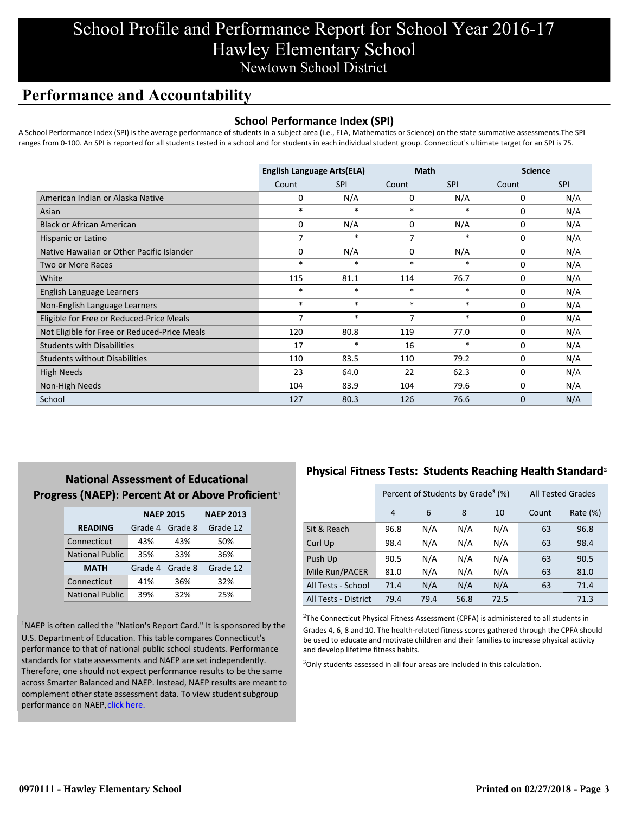# School Profile and Performance Report for School Year 2016-17 Hawley Elementary School Newtown School District

## **Performance and Accountability**

#### **School Performance Index (SPI)**

A School Performance Index (SPI) is the average performance of students in a subject area (i.e., ELA, Mathematics or Science) on the state summative assessments.The SPI ranges from 0-100. An SPI is reported for all students tested in a school and for students in each individual student group. Connecticut's ultimate target for an SPI is 75.

|                                              | <b>English Language Arts(ELA)</b> |            | <b>Math</b> |            | <b>Science</b> |            |
|----------------------------------------------|-----------------------------------|------------|-------------|------------|----------------|------------|
|                                              | Count                             | <b>SPI</b> | Count       | <b>SPI</b> | Count          | <b>SPI</b> |
| American Indian or Alaska Native             | 0                                 | N/A        | 0           | N/A        | 0              | N/A        |
| Asian                                        | $\ast$                            | $\ast$     | $\ast$      | *          | 0              | N/A        |
| <b>Black or African American</b>             | 0                                 | N/A        | 0           | N/A        | 0              | N/A        |
| Hispanic or Latino                           | 7                                 | $\ast$     | 7           | $\ast$     | $\Omega$       | N/A        |
| Native Hawaiian or Other Pacific Islander    | 0                                 | N/A        | $\mathbf 0$ | N/A        | $\mathbf 0$    | N/A        |
| <b>Two or More Races</b>                     | $\ast$                            | $\ast$     | $\ast$      | *          | 0              | N/A        |
| White                                        | 115                               | 81.1       | 114         | 76.7       | 0              | N/A        |
| English Language Learners                    | $\ast$                            | $\ast$     | $\ast$      | $\ast$     | 0              | N/A        |
| Non-English Language Learners                | $\ast$                            | $\ast$     | $\ast$      | $\ast$     | 0              | N/A        |
| Eligible for Free or Reduced-Price Meals     | 7                                 | $\ast$     | 7           | $\ast$     | 0              | N/A        |
| Not Eligible for Free or Reduced-Price Meals | 120                               | 80.8       | 119         | 77.0       | 0              | N/A        |
| <b>Students with Disabilities</b>            | 17                                | $\ast$     | 16          | $\ast$     | $\mathbf 0$    | N/A        |
| <b>Students without Disabilities</b>         | 110                               | 83.5       | 110         | 79.2       | 0              | N/A        |
| <b>High Needs</b>                            | 23                                | 64.0       | 22          | 62.3       | 0              | N/A        |
| Non-High Needs                               | 104                               | 83.9       | 104         | 79.6       | 0              | N/A        |
| School                                       | 127                               | 80.3       | 126         | 76.6       | 0              | N/A        |

### **National Assessment of Educational Progress (NAEP): Percent At or Above Proficient1**

|                        | <b>NAEP 2015</b> |         | <b>NAEP 2013</b> |  |  |
|------------------------|------------------|---------|------------------|--|--|
| <b>READING</b>         | Grade 4          | Grade 8 | Grade 12         |  |  |
| Connecticut            | 43%              | 43%     | 50%              |  |  |
| <b>National Public</b> | 35%              | 33%     | 36%              |  |  |
| <b>MATH</b>            | Grade 4          | Grade 8 | Grade 12         |  |  |
| Connecticut<br>41%     |                  | 36%     | 32%              |  |  |
| <b>National Public</b> | 39%              | 32%     | 25%              |  |  |

<sup>1</sup>NAEP is often called the "Nation's Report Card." It is sponsored by the U.S. Department of Education. This table compares Connecticut's performance to that of national public school students. Performance standards for state assessments and NAEP are set independently. Therefore, one should not expect performance results to be the same [across Smarter Balanced and NAEP. Instead, NAEP results are meant to](http://portal.ct.gov/-/media/SDE/Student-Assessment/NAEP/ct_naep_2015_results_by_performance_level.pdf?la=en) complement other state assessment data. To view student subgroup performance on NAEP, click here.

### **Physical Fitness Tests: Students Reaching Health Standard**²

|                      | Percent of Students by Grade <sup>3</sup> (%) |      |      |      | <b>All Tested Grades</b> |             |
|----------------------|-----------------------------------------------|------|------|------|--------------------------|-------------|
|                      | 4                                             | 6    | 8    | 10   | Count                    | Rate $(\%)$ |
| Sit & Reach          | 96.8                                          | N/A  | N/A  | N/A  | 63                       | 96.8        |
| Curl Up              | 98.4                                          | N/A  | N/A  | N/A  | 63                       | 98.4        |
| Push Up              | 90.5                                          | N/A  | N/A  | N/A  | 63                       | 90.5        |
| Mile Run/PACER       | 81.0                                          | N/A  | N/A  | N/A  | 63                       | 81.0        |
| All Tests - School   | 71.4                                          | N/A  | N/A  | N/A  | 63                       | 71.4        |
| All Tests - District | 79.4                                          | 79.4 | 56.8 | 72.5 |                          | 71.3        |

 $2$ The Connecticut Physical Fitness Assessment (CPFA) is administered to all students in Grades 4, 6, 8 and 10. The health-related fitness scores gathered through the CPFA should be used to educate and motivate children and their families to increase physical activity and develop lifetime fitness habits.

<sup>3</sup>Only students assessed in all four areas are included in this calculation.